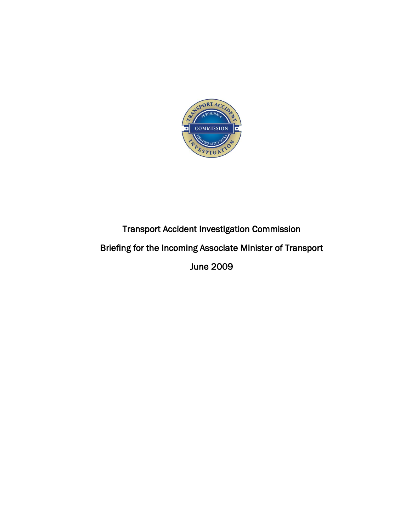

# Transport Accident Investigation Commission Briefing for the Incoming Associate Minister of Transport June 2009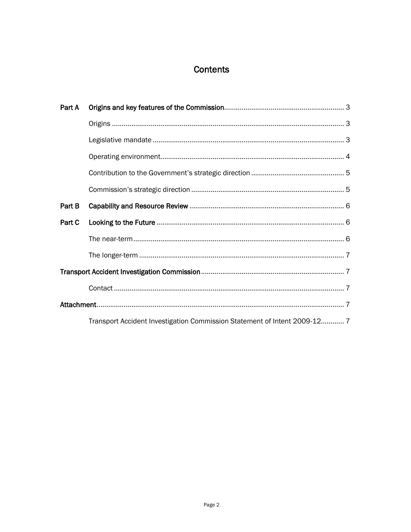## Contents

| Part A |                                                                           |  |
|--------|---------------------------------------------------------------------------|--|
|        |                                                                           |  |
|        |                                                                           |  |
|        |                                                                           |  |
|        |                                                                           |  |
|        |                                                                           |  |
| Part B |                                                                           |  |
| Part C |                                                                           |  |
|        |                                                                           |  |
|        |                                                                           |  |
|        |                                                                           |  |
|        |                                                                           |  |
|        |                                                                           |  |
|        | Transport Accident Investigation Commission Statement of Intent 2009-12 7 |  |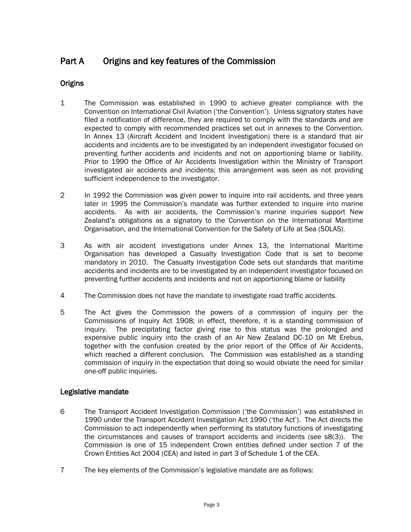### <span id="page-2-0"></span>Part A Origins and key features of the Commission

### <span id="page-2-1"></span>**Origins**

- 1 The Commission was established in 1990 to achieve greater compliance with the Convention on International Civil Aviation ("the Convention"). Unless signatory states have filed a notification of difference, they are required to comply with the standards and are expected to comply with recommended practices set out in annexes to the Convention. In Annex 13 (Aircraft Accident and Incident Investigation) there is a standard that air accidents and incidents are to be investigated by an independent investigator focused on preventing further accidents and incidents and not on apportioning blame or liability. Prior to 1990 the Office of Air Accidents Investigation within the Ministry of Transport investigated air accidents and incidents; this arrangement was seen as not providing sufficient independence to the investigator.
- 2 In 1992 the Commission was given power to inquire into rail accidents, and three years later in 1995 the Commission"s mandate was further extended to inquire into marine accidents. As with air accidents, the Commission"s marine inquiries support New Zealand"s obligations as a signatory to the Convention on the International Maritime Organisation, and the International Convention for the Safety of Life at Sea (SOLAS).
- 3 As with air accident investigations under Annex 13, the International Maritime Organisation has developed a Casualty Investigation Code that is set to become mandatory in 2010. The Casualty Investigation Code sets out standards that maritime accidents and incidents are to be investigated by an independent investigator focused on preventing further accidents and incidents and not on apportioning blame or liability
- 4 The Commission does not have the mandate to investigate road traffic accidents.
- 5 The Act gives the Commission the powers of a commission of inquiry per the Commissions of Inquiry Act 1908; in effect, therefore, it is a standing commission of inquiry. The precipitating factor giving rise to this status was the prolonged and expensive public inquiry into the crash of an Air New Zealand DC-10 on Mt Erebus, together with the confusion created by the prior report of the Office of Air Accidents, which reached a different conclusion. The Commission was established as a standing commission of inquiry in the expectation that doing so would obviate the need for similar one-off public inquiries.

### <span id="page-2-2"></span>Legislative mandate

- 6 The Transport Accident Investigation Commission ("the Commission") was established in 1990 under the Transport Accident Investigation Act 1990 ("the Act"). The Act directs the Commission to act independently when performing its statutory functions of investigating the circumstances and causes of transport accidents and incidents (see s8(3)). The Commission is one of 15 independent Crown entities defined under section 7 of the Crown Entities Act 2004 (CEA) and listed in part 3 of Schedule 1 of the CEA.
- 7 The key elements of the Commission"s legislative mandate are as follows: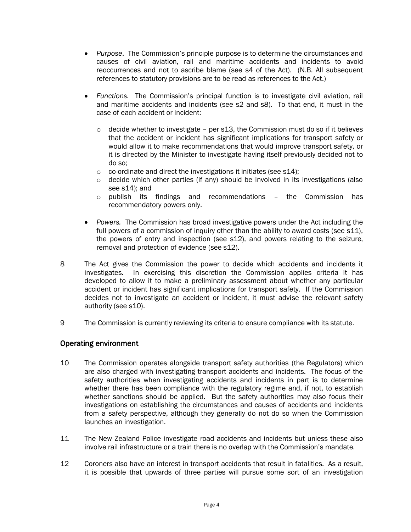- *Purpose*. The Commission"s principle purpose is to determine the circumstances and causes of civil aviation, rail and maritime accidents and incidents to avoid reoccurrences and not to ascribe blame (see s4 of the Act). (N.B. All subsequent references to statutory provisions are to be read as references to the Act.)
- $\bullet$ *Functions.* The Commission"s principal function is to investigate civil aviation, rail and maritime accidents and incidents (see s2 and s8). To that end, it must in the case of each accident or incident:
	- $\circ$  decide whether to investigate per s13, the Commission must do so if it believes that the accident or incident has significant implications for transport safety or would allow it to make recommendations that would improve transport safety, or it is directed by the Minister to investigate having itself previously decided not to do so;
	- o co-ordinate and direct the investigations it initiates (see s14);
	- $\circ$  decide which other parties (if any) should be involved in its investigations (also see s14); and
	- o publish its findings and recommendations the Commission has recommendatory powers only.
- *Powers.* The Commission has broad investigative powers under the Act including the full powers of a commission of inquiry other than the ability to award costs (see s11). the powers of entry and inspection (see s12), and powers relating to the seizure, removal and protection of evidence (see s12).
- 8 The Act gives the Commission the power to decide which accidents and incidents it investigates. In exercising this discretion the Commission applies criteria it has developed to allow it to make a preliminary assessment about whether any particular accident or incident has significant implications for transport safety. If the Commission decides not to investigate an accident or incident, it must advise the relevant safety authority (see s10).
- 9 The Commission is currently reviewing its criteria to ensure compliance with its statute.

### <span id="page-3-0"></span>Operating environment

- 10 The Commission operates alongside transport safety authorities (the Regulators) which are also charged with investigating transport accidents and incidents. The focus of the safety authorities when investigating accidents and incidents in part is to determine whether there has been compliance with the regulatory regime and, if not, to establish whether sanctions should be applied. But the safety authorities may also focus their investigations on establishing the circumstances and causes of accidents and incidents from a safety perspective, although they generally do not do so when the Commission launches an investigation.
- 11 The New Zealand Police investigate road accidents and incidents but unless these also involve rail infrastructure or a train there is no overlap with the Commission's mandate.
- 12 Coroners also have an interest in transport accidents that result in fatalities. As a result, it is possible that upwards of three parties will pursue some sort of an investigation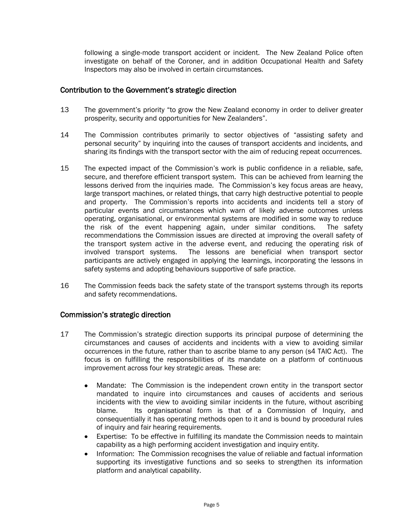following a single-mode transport accident or incident. The New Zealand Police often investigate on behalf of the Coroner, and in addition Occupational Health and Safety Inspectors may also be involved in certain circumstances.

#### <span id="page-4-0"></span>Contribution to the Government"s strategic direction

- 13 The government"s priority "to grow the New Zealand economy in order to deliver greater prosperity, security and opportunities for New Zealanders".
- 14 The Commission contributes primarily to sector objectives of "assisting safety and personal security" by inquiring into the causes of transport accidents and incidents, and sharing its findings with the transport sector with the aim of reducing repeat occurrences.
- 15 The expected impact of the Commission"s work is public confidence in a reliable, safe, secure, and therefore efficient transport system. This can be achieved from learning the lessons derived from the inquiries made. The Commission's key focus areas are heavy, large transport machines, or related things, that carry high destructive potential to people and property. The Commission"s reports into accidents and incidents tell a story of particular events and circumstances which warn of likely adverse outcomes unless operating, organisational, or environmental systems are modified in some way to reduce the risk of the event happening again, under similar conditions. The safety recommendations the Commission issues are directed at improving the overall safety of the transport system active in the adverse event, and reducing the operating risk of involved transport systems. The lessons are beneficial when transport sector participants are actively engaged in applying the learnings, incorporating the lessons in safety systems and adopting behaviours supportive of safe practice.
- 16 The Commission feeds back the safety state of the transport systems through its reports and safety recommendations.

### <span id="page-4-1"></span>Commission"s strategic direction

- 17 The Commission"s strategic direction supports its principal purpose of determining the circumstances and causes of accidents and incidents with a view to avoiding similar occurrences in the future, rather than to ascribe blame to any person (s4 TAIC Act). The focus is on fulfilling the responsibilities of its mandate on a platform of continuous improvement across four key strategic areas. These are:
	- Mandate: The Commission is the independent crown entity in the transport sector  $\bullet$ mandated to inquire into circumstances and causes of accidents and serious incidents with the view to avoiding similar incidents in the future, without ascribing blame. Its organisational form is that of a Commission of Inquiry, and consequentially it has operating methods open to it and is bound by procedural rules of inquiry and fair hearing requirements.
	- $\bullet$ Expertise: To be effective in fulfilling its mandate the Commission needs to maintain capability as a high performing accident investigation and inquiry entity.
	- $\bullet$ Information: The Commission recognises the value of reliable and factual information supporting its investigative functions and so seeks to strengthen its information platform and analytical capability.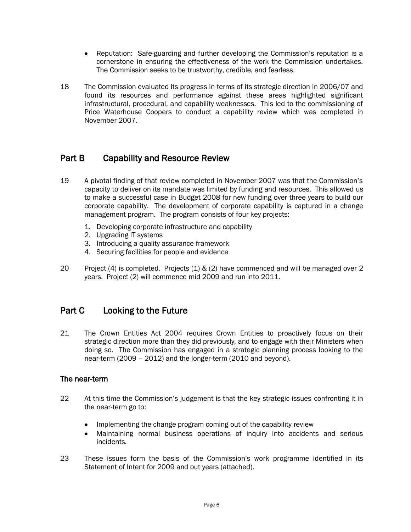- $\bullet$ Reputation: Safe-guarding and further developing the Commission"s reputation is a cornerstone in ensuring the effectiveness of the work the Commission undertakes. The Commission seeks to be trustworthy, credible, and fearless.
- 18 The Commission evaluated its progress in terms of its strategic direction in 2006/07 and found its resources and performance against these areas highlighted significant infrastructural, procedural, and capability weaknesses. This led to the commissioning of Price Waterhouse Coopers to conduct a capability review which was completed in November 2007.

### <span id="page-5-0"></span>Part B Capability and Resource Review

- 19 A pivotal finding of that review completed in November 2007 was that the Commission"s capacity to deliver on its mandate was limited by funding and resources. This allowed us to make a successful case in Budget 2008 for new funding over three years to build our corporate capability. The development of corporate capability is captured in a change management program. The program consists of four key projects:
	- 1. Developing corporate infrastructure and capability
	- 2. Upgrading IT systems
	- 3. Introducing a quality assurance framework
	- 4. Securing facilities for people and evidence
- 20 Project (4) is completed. Projects (1)  $\&$  (2) have commenced and will be managed over 2 years. Project (2) will commence mid 2009 and run into 2011.

### <span id="page-5-1"></span>Part C Looking to the Future

21 The Crown Entities Act 2004 requires Crown Entities to proactively focus on their strategic direction more than they did previously, and to engage with their Ministers when doing so. The Commission has engaged in a strategic planning process looking to the near-term (2009 – 2012) and the longer-term (2010 and beyond).

### <span id="page-5-2"></span>The near-term

- 22 At this time the Commission's judgement is that the key strategic issues confronting it in the near-term go to:
	- $\bullet$ Implementing the change program coming out of the capability review
	- Maintaining normal business operations of inquiry into accidents and serious  $\bullet$ incidents.
- 23 These issues form the basis of the Commission"s work programme identified in its Statement of Intent for 2009 and out years (attached).